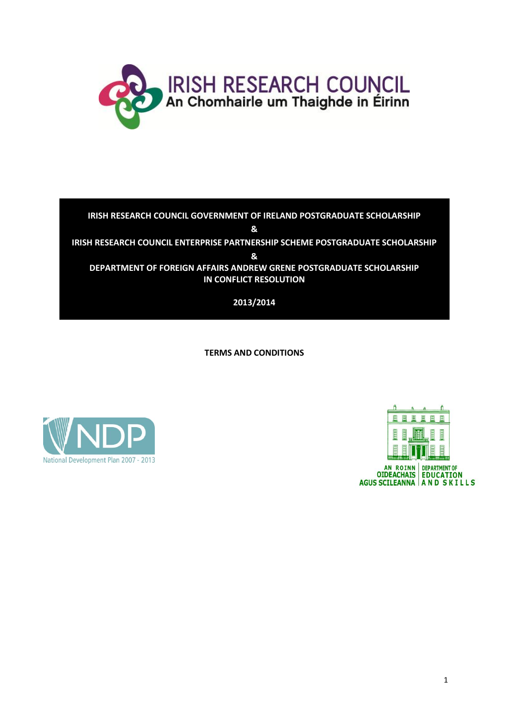

# **IRISH RESEARCH COUNCIL GOVERNMENT OF IRELAND POSTGRADUATE SCHOLARSHIP & IRISH RESEARCH COUNCIL ENTERPRISE PARTNERSHIP SCHEME POSTGRADUATE SCHOLARSHIP & DEPARTMENT OF FOREIGN AFFAIRS ANDREW GRENE POSTGRADUATE SCHOLARSHIP IN CONFLICT RESOLUTION**

**2013/2014**

**TERMS AND CONDITIONS**



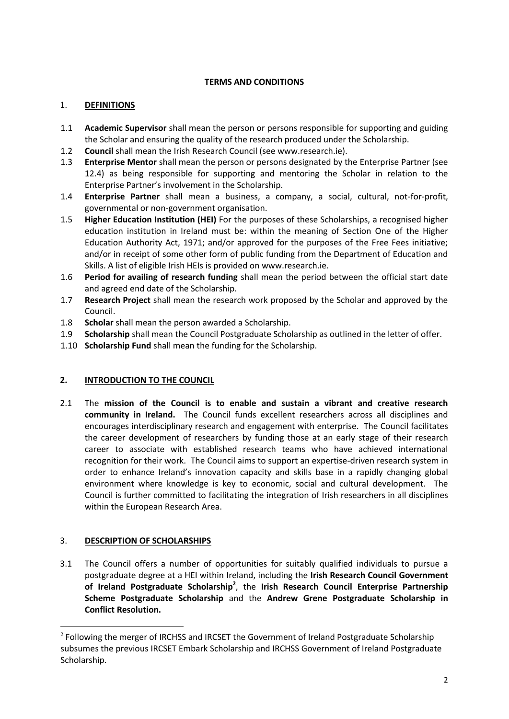## **TERMS AND CONDITIONS**

# 1. **DEFINITIONS**

- 1.1 **Academic Supervisor** shall mean the person or persons responsible for supporting and guiding the Scholar and ensuring the quality of the research produced under the Scholarship.
- 1.2 **Council** shall mean the Irish Research Council (see www.research.ie).
- 1.3 **Enterprise Mentor** shall mean the person or persons designated by the Enterprise Partner (see 12.4) as being responsible for supporting and mentoring the Scholar in relation to the Enterprise Partner's involvement in the Scholarship.
- 1.4 **Enterprise Partner** shall mean a business, a company, a social, cultural, not-for-profit, governmental or non-government organisation.
- 1.5 **Higher Education Institution (HEI)** For the purposes of these Scholarships, a recognised higher education institution in Ireland must be: within the meaning of Section One of the Higher Education Authority Act, 1971; and/or approved for the purposes of the Free Fees initiative; and/or in receipt of some other form of public funding from the Department of Education and Skills. A list of eligible Irish HEIs is provided on www.research.ie.
- 1.6 **Period for availing of research funding** shall mean the period between the official start date and agreed end date of the Scholarship.
- 1.7 **Research Project** shall mean the research work proposed by the Scholar and approved by the Council.
- 1.8 **Scholar** shall mean the person awarded a Scholarship.
- 1.9 **Scholarship** shall mean the Council Postgraduate Scholarship as outlined in the letter of offer.
- 1.10 **Scholarship Fund** shall mean the funding for the Scholarship.

## **2. INTRODUCTION TO THE COUNCIL**

2.1 The **mission of the Council is to enable and sustain a vibrant and creative research community in Ireland.** The Council funds excellent researchers across all disciplines and encourages interdisciplinary research and engagement with enterprise. The Council facilitates the career development of researchers by funding those at an early stage of their research career to associate with established research teams who have achieved international recognition for their work. The Council aims to support an expertise-driven research system in order to enhance Ireland's innovation capacity and skills base in a rapidly changing global environment where knowledge is key to economic, social and cultural development. The Council is further committed to facilitating the integration of Irish researchers in all disciplines within the European Research Area.

## 3. **DESCRIPTION OF SCHOLARSHIPS**

 $\overline{a}$ 

3.1 The Council offers a number of opportunities for suitably qualified individuals to pursue a postgraduate degree at a HEI within Ireland, including the **Irish Research Council Government of Ireland Postgraduate Scholarship<sup>2</sup>** , the **Irish Research Council Enterprise Partnership Scheme Postgraduate Scholarship** and the **Andrew Grene Postgraduate Scholarship in Conflict Resolution.**

 $^2$  Following the merger of IRCHSS and IRCSET the Government of Ireland Postgraduate Scholarship subsumes the previous IRCSET Embark Scholarship and IRCHSS Government of Ireland Postgraduate Scholarship.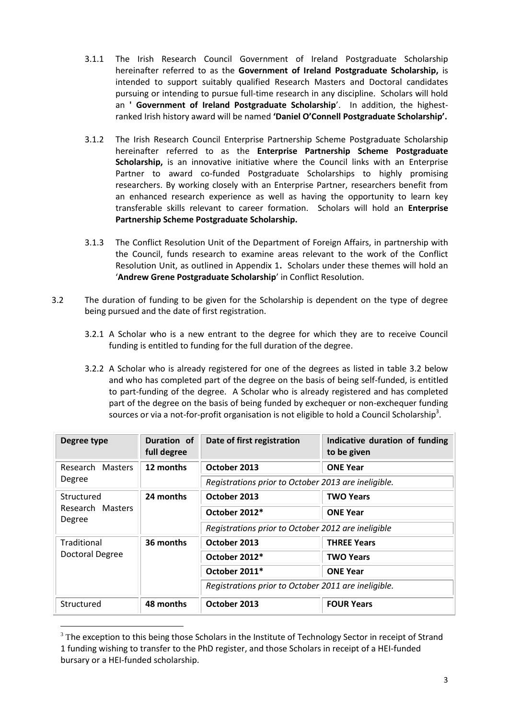- 3.1.1 The Irish Research Council Government of Ireland Postgraduate Scholarship hereinafter referred to as the **Government of Ireland Postgraduate Scholarship,** is intended to support suitably qualified Research Masters and Doctoral candidates pursuing or intending to pursue full-time research in any discipline. Scholars will hold an **' Government of Ireland Postgraduate Scholarship**'. In addition, the highestranked Irish history award will be named **'Daniel O'Connell Postgraduate Scholarship'.**
- 3.1.2 The Irish Research Council Enterprise Partnership Scheme Postgraduate Scholarship hereinafter referred to as the **Enterprise Partnership Scheme Postgraduate Scholarship,** is an innovative initiative where the Council links with an Enterprise Partner to award co-funded Postgraduate Scholarships to highly promising researchers. By working closely with an Enterprise Partner, researchers benefit from an enhanced research experience as well as having the opportunity to learn key transferable skills relevant to career formation. Scholars will hold an **Enterprise Partnership Scheme Postgraduate Scholarship.**
- 3.1.3 The Conflict Resolution Unit of the Department of Foreign Affairs, in partnership with the Council, funds research to examine areas relevant to the work of the Conflict Resolution Unit, as outlined in Appendix 1**.** Scholars under these themes will hold an '**Andrew Grene Postgraduate Scholarship**' in Conflict Resolution.
- 3.2 The duration of funding to be given for the Scholarship is dependent on the type of degree being pursued and the date of first registration.
	- 3.2.1 A Scholar who is a new entrant to the degree for which they are to receive Council funding is entitled to funding for the full duration of the degree.
	- 3.2.2 A Scholar who is already registered for one of the degrees as listed in table 3.2 below and who has completed part of the degree on the basis of being self-funded, is entitled to part-funding of the degree. A Scholar who is already registered and has completed part of the degree on the basis of being funded by exchequer or non-exchequer funding sources or via a not-for-profit organisation is not eligible to hold a Council Scholarship<sup>3</sup>.

| Degree type                              | Duration of<br>full degree | Date of first registration                          | Indicative duration of funding<br>to be given |
|------------------------------------------|----------------------------|-----------------------------------------------------|-----------------------------------------------|
| Research Masters<br>Degree               | 12 months                  | October 2013                                        | <b>ONE Year</b>                               |
|                                          |                            | Registrations prior to October 2013 are ineligible. |                                               |
| Structured<br>Research Masters<br>Degree | 24 months                  | October 2013                                        | <b>TWO Years</b>                              |
|                                          |                            | October 2012*                                       | <b>ONE Year</b>                               |
|                                          |                            | Registrations prior to October 2012 are ineligible  |                                               |
| Traditional<br><b>Doctoral Degree</b>    | 36 months                  | October 2013                                        | <b>THREE Years</b>                            |
|                                          |                            | October 2012*                                       | <b>TWO Years</b>                              |
|                                          |                            | October 2011*                                       | <b>ONE Year</b>                               |
|                                          |                            | Registrations prior to October 2011 are ineligible. |                                               |
| Structured                               | 48 months                  | October 2013                                        | <b>FOUR Years</b>                             |

 $3$  The exception to this being those Scholars in the Institute of Technology Sector in receipt of Strand 1 funding wishing to transfer to the PhD register, and those Scholars in receipt of a HEI-funded bursary or a HEI-funded scholarship.

 $\overline{a}$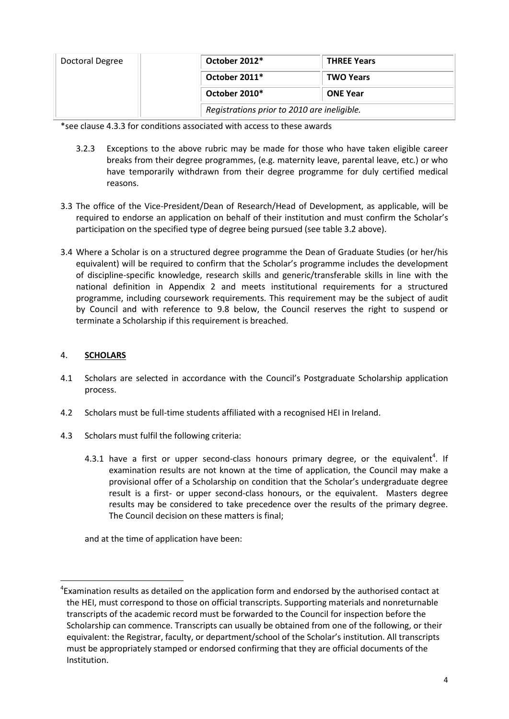| Doctoral Degree | October 2012* | <b>THREE Years</b>                          |  |
|-----------------|---------------|---------------------------------------------|--|
|                 | October 2011* | <b>TWO Years</b>                            |  |
|                 | October 2010* | <b>ONE Year</b>                             |  |
|                 |               | Registrations prior to 2010 are ineligible. |  |

\*see clause 4.3.3 for conditions associated with access to these awards

- 3.2.3 Exceptions to the above rubric may be made for those who have taken eligible career breaks from their degree programmes, (e.g. maternity leave, parental leave, etc.) or who have temporarily withdrawn from their degree programme for duly certified medical reasons.
- 3.3 The office of the Vice-President/Dean of Research/Head of Development, as applicable, will be required to endorse an application on behalf of their institution and must confirm the Scholar's participation on the specified type of degree being pursued (see table 3.2 above).
- 3.4 Where a Scholar is on a structured degree programme the Dean of Graduate Studies (or her/his equivalent) will be required to confirm that the Scholar's programme includes the development of discipline-specific knowledge, research skills and generic/transferable skills in line with the national definition in Appendix 2 and meets institutional requirements for a structured programme, including coursework requirements. This requirement may be the subject of audit by Council and with reference to 9.8 below, the Council reserves the right to suspend or terminate a Scholarship if this requirement is breached.

## 4. **SCHOLARS**

 $\overline{a}$ 

- 4.1 Scholars are selected in accordance with the Council's Postgraduate Scholarship application process.
- 4.2 Scholars must be full-time students affiliated with a recognised HEI in Ireland.
- 4.3 Scholars must fulfil the following criteria:
	- 4.3.1 have a first or upper second-class honours primary degree, or the equivalent<sup>4</sup>. If examination results are not known at the time of application, the Council may make a provisional offer of a Scholarship on condition that the Scholar's undergraduate degree result is a first- or upper second-class honours, or the equivalent. Masters degree results may be considered to take precedence over the results of the primary degree. The Council decision on these matters is final;

and at the time of application have been:

 ${}^{4}$ Examination results as detailed on the application form and endorsed by the authorised contact at the HEI, must correspond to those on official transcripts. Supporting materials and nonreturnable transcripts of the academic record must be forwarded to the Council for inspection before the Scholarship can commence. Transcripts can usually be obtained from one of the following, or their equivalent: the Registrar, faculty, or department/school of the Scholar's institution. All transcripts must be appropriately stamped or endorsed confirming that they are official documents of the Institution.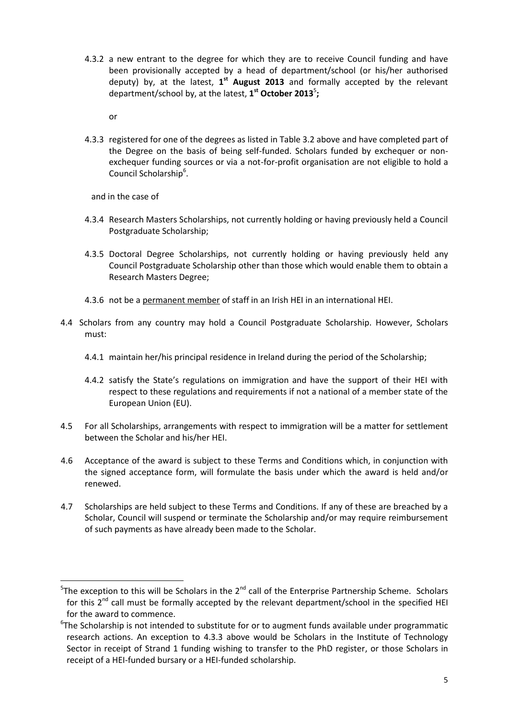4.3.2 a new entrant to the degree for which they are to receive Council funding and have been provisionally accepted by a head of department/school (or his/her authorised deputy) by, at the latest, 1<sup>st</sup> August 2013 and formally accepted by the relevant department/school by, at the latest,  $1<sup>st</sup>$  October 2013<sup>5</sup>;

or

4.3.3 registered for one of the degrees as listed in Table 3.2 above and have completed part of the Degree on the basis of being self-funded. Scholars funded by exchequer or nonexchequer funding sources or via a not-for-profit organisation are not eligible to hold a Council Scholarship<sup>6</sup>.

and in the case of

 $\overline{a}$ 

- 4.3.4 Research Masters Scholarships, not currently holding or having previously held a Council Postgraduate Scholarship;
- 4.3.5 Doctoral Degree Scholarships, not currently holding or having previously held any Council Postgraduate Scholarship other than those which would enable them to obtain a Research Masters Degree;
- 4.3.6 not be a permanent member of staff in an Irish HEI in an international HEI.
- 4.4 Scholars from any country may hold a Council Postgraduate Scholarship. However, Scholars must:
	- 4.4.1 maintain her/his principal residence in Ireland during the period of the Scholarship;
	- 4.4.2 satisfy the State's regulations on immigration and have the support of their HEI with respect to these regulations and requirements if not a national of a member state of the European Union (EU).
- 4.5 For all Scholarships, arrangements with respect to immigration will be a matter for settlement between the Scholar and his/her HEI.
- 4.6 Acceptance of the award is subject to these Terms and Conditions which, in conjunction with the signed acceptance form, will formulate the basis under which the award is held and/or renewed.
- 4.7 Scholarships are held subject to these Terms and Conditions. If any of these are breached by a Scholar, Council will suspend or terminate the Scholarship and/or may require reimbursement of such payments as have already been made to the Scholar.

 $5$ The exception to this will be Scholars in the 2<sup>nd</sup> call of the Enterprise Partnership Scheme. Scholars for this  $2^{nd}$  call must be formally accepted by the relevant department/school in the specified HEI for the award to commence.

<sup>&</sup>lt;sup>6</sup>The Scholarship is not intended to substitute for or to augment funds available under programmatic research actions. An exception to 4.3.3 above would be Scholars in the Institute of Technology Sector in receipt of Strand 1 funding wishing to transfer to the PhD register, or those Scholars in receipt of a HEI-funded bursary or a HEI-funded scholarship.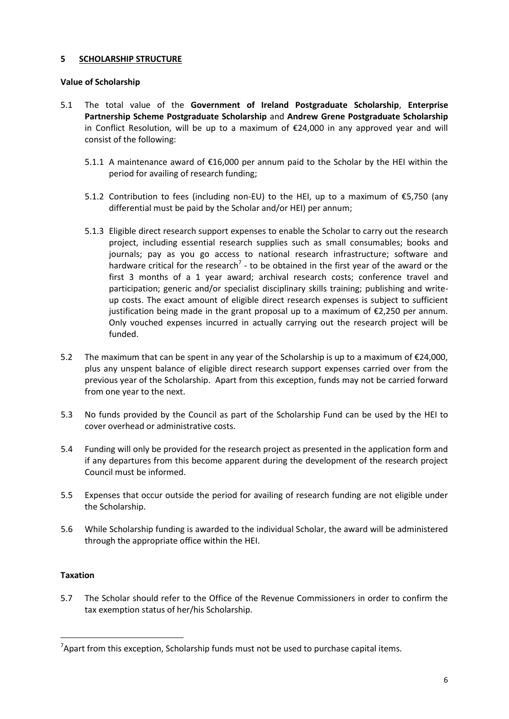## **5 SCHOLARSHIP STRUCTURE**

## **Value of Scholarship**

- 5.1 The total value of the **Government of Ireland Postgraduate Scholarship**, **Enterprise Partnership Scheme Postgraduate Scholarship** and **Andrew Grene Postgraduate Scholarship** in Conflict Resolution, will be up to a maximum of  $E24,000$  in any approved year and will consist of the following:
	- 5.1.1 A maintenance award of €16,000 per annum paid to the Scholar by the HEI within the period for availing of research funding;
	- 5.1.2 Contribution to fees (including non-EU) to the HEI, up to a maximum of  $\epsilon$ 5,750 (any differential must be paid by the Scholar and/or HEI) per annum;
	- 5.1.3 Eligible direct research support expenses to enable the Scholar to carry out the research project, including essential research supplies such as small consumables; books and journals; pay as you go access to national research infrastructure; software and hardware critical for the research<sup>7</sup> - to be obtained in the first year of the award or the first 3 months of a 1 year award; archival research costs; conference travel and participation; generic and/or specialist disciplinary skills training; publishing and writeup costs. The exact amount of eligible direct research expenses is subject to sufficient justification being made in the grant proposal up to a maximum of  $\epsilon$ 2,250 per annum. Only vouched expenses incurred in actually carrying out the research project will be funded.
- 5.2 The maximum that can be spent in any year of the Scholarship is up to a maximum of €24,000, plus any unspent balance of eligible direct research support expenses carried over from the previous year of the Scholarship. Apart from this exception, funds may not be carried forward from one year to the next.
- 5.3 No funds provided by the Council as part of the Scholarship Fund can be used by the HEI to cover overhead or administrative costs.
- 5.4 Funding will only be provided for the research project as presented in the application form and if any departures from this become apparent during the development of the research project Council must be informed.
- 5.5 Expenses that occur outside the period for availing of research funding are not eligible under the Scholarship.
- 5.6 While Scholarship funding is awarded to the individual Scholar, the award will be administered through the appropriate office within the HEI.

## **Taxation**

 $\overline{a}$ 

5.7 The Scholar should refer to the Office of the Revenue Commissioners in order to confirm the tax exemption status of her/his Scholarship.

 $^7$ Apart from this exception, Scholarship funds must not be used to purchase capital items.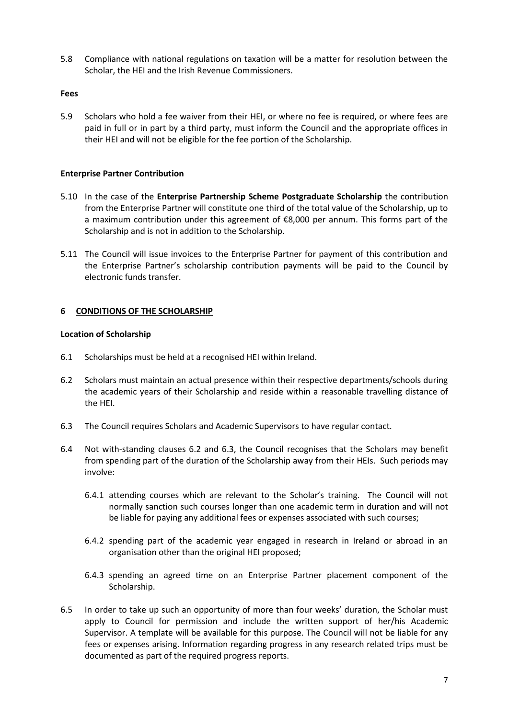5.8 Compliance with national regulations on taxation will be a matter for resolution between the Scholar, the HEI and the Irish Revenue Commissioners.

#### **Fees**

5.9 Scholars who hold a fee waiver from their HEI, or where no fee is required, or where fees are paid in full or in part by a third party, must inform the Council and the appropriate offices in their HEI and will not be eligible for the fee portion of the Scholarship.

## **Enterprise Partner Contribution**

- 5.10 In the case of the **Enterprise Partnership Scheme Postgraduate Scholarship** the contribution from the Enterprise Partner will constitute one third of the total value of the Scholarship, up to a maximum contribution under this agreement of €8,000 per annum. This forms part of the Scholarship and is not in addition to the Scholarship.
- 5.11 The Council will issue invoices to the Enterprise Partner for payment of this contribution and the Enterprise Partner's scholarship contribution payments will be paid to the Council by electronic funds transfer.

## **6 CONDITIONS OF THE SCHOLARSHIP**

#### **Location of Scholarship**

- 6.1 Scholarships must be held at a recognised HEI within Ireland.
- 6.2 Scholars must maintain an actual presence within their respective departments/schools during the academic years of their Scholarship and reside within a reasonable travelling distance of the HEI.
- 6.3 The Council requires Scholars and Academic Supervisors to have regular contact.
- 6.4 Not with-standing clauses 6.2 and 6.3, the Council recognises that the Scholars may benefit from spending part of the duration of the Scholarship away from their HEIs. Such periods may involve:
	- 6.4.1 attending courses which are relevant to the Scholar's training. The Council will not normally sanction such courses longer than one academic term in duration and will not be liable for paying any additional fees or expenses associated with such courses;
	- 6.4.2 spending part of the academic year engaged in research in Ireland or abroad in an organisation other than the original HEI proposed;
	- 6.4.3 spending an agreed time on an Enterprise Partner placement component of the Scholarship.
- 6.5 In order to take up such an opportunity of more than four weeks' duration, the Scholar must apply to Council for permission and include the written support of her/his Academic Supervisor. A template will be available for this purpose. The Council will not be liable for any fees or expenses arising. Information regarding progress in any research related trips must be documented as part of the required progress reports.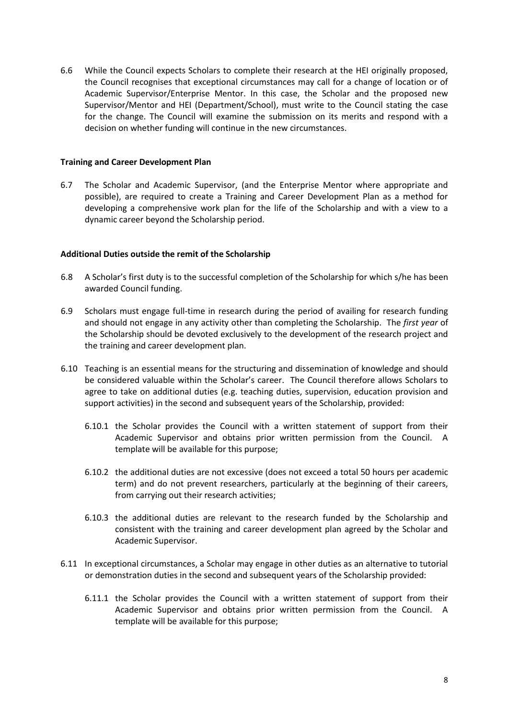6.6 While the Council expects Scholars to complete their research at the HEI originally proposed, the Council recognises that exceptional circumstances may call for a change of location or of Academic Supervisor/Enterprise Mentor. In this case, the Scholar and the proposed new Supervisor/Mentor and HEI (Department/School), must write to the Council stating the case for the change. The Council will examine the submission on its merits and respond with a decision on whether funding will continue in the new circumstances.

#### **Training and Career Development Plan**

6.7 The Scholar and Academic Supervisor, (and the Enterprise Mentor where appropriate and possible), are required to create a Training and Career Development Plan as a method for developing a comprehensive work plan for the life of the Scholarship and with a view to a dynamic career beyond the Scholarship period.

#### **Additional Duties outside the remit of the Scholarship**

- 6.8 A Scholar's first duty is to the successful completion of the Scholarship for which s/he has been awarded Council funding.
- 6.9 Scholars must engage full-time in research during the period of availing for research funding and should not engage in any activity other than completing the Scholarship. The *first year* of the Scholarship should be devoted exclusively to the development of the research project and the training and career development plan.
- 6.10 Teaching is an essential means for the structuring and dissemination of knowledge and should be considered valuable within the Scholar's career. The Council therefore allows Scholars to agree to take on additional duties (e.g. teaching duties, supervision, education provision and support activities) in the second and subsequent years of the Scholarship, provided:
	- 6.10.1 the Scholar provides the Council with a written statement of support from their Academic Supervisor and obtains prior written permission from the Council. A template will be available for this purpose;
	- 6.10.2 the additional duties are not excessive (does not exceed a total 50 hours per academic term) and do not prevent researchers, particularly at the beginning of their careers, from carrying out their research activities;
	- 6.10.3 the additional duties are relevant to the research funded by the Scholarship and consistent with the training and career development plan agreed by the Scholar and Academic Supervisor.
- 6.11 In exceptional circumstances, a Scholar may engage in other duties as an alternative to tutorial or demonstration duties in the second and subsequent years of the Scholarship provided:
	- 6.11.1 the Scholar provides the Council with a written statement of support from their Academic Supervisor and obtains prior written permission from the Council. A template will be available for this purpose;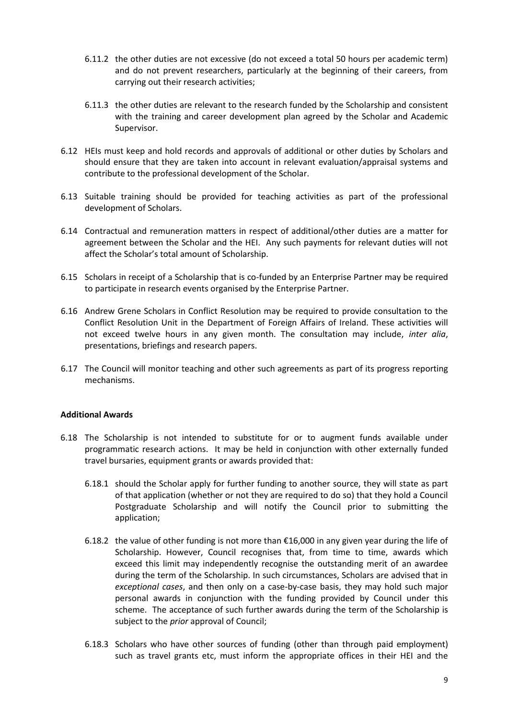- 6.11.2 the other duties are not excessive (do not exceed a total 50 hours per academic term) and do not prevent researchers, particularly at the beginning of their careers, from carrying out their research activities;
- 6.11.3 the other duties are relevant to the research funded by the Scholarship and consistent with the training and career development plan agreed by the Scholar and Academic Supervisor.
- 6.12 HEIs must keep and hold records and approvals of additional or other duties by Scholars and should ensure that they are taken into account in relevant evaluation/appraisal systems and contribute to the professional development of the Scholar.
- 6.13 Suitable training should be provided for teaching activities as part of the professional development of Scholars.
- 6.14 Contractual and remuneration matters in respect of additional/other duties are a matter for agreement between the Scholar and the HEI. Any such payments for relevant duties will not affect the Scholar's total amount of Scholarship.
- 6.15 Scholars in receipt of a Scholarship that is co-funded by an Enterprise Partner may be required to participate in research events organised by the Enterprise Partner.
- 6.16 Andrew Grene Scholars in Conflict Resolution may be required to provide consultation to the Conflict Resolution Unit in the Department of Foreign Affairs of Ireland. These activities will not exceed twelve hours in any given month. The consultation may include, *inter alia*, presentations, briefings and research papers.
- 6.17 The Council will monitor teaching and other such agreements as part of its progress reporting mechanisms.

#### **Additional Awards**

- 6.18 The Scholarship is not intended to substitute for or to augment funds available under programmatic research actions. It may be held in conjunction with other externally funded travel bursaries, equipment grants or awards provided that:
	- 6.18.1 should the Scholar apply for further funding to another source, they will state as part of that application (whether or not they are required to do so) that they hold a Council Postgraduate Scholarship and will notify the Council prior to submitting the application;
	- 6.18.2 the value of other funding is not more than  $€16,000$  in any given year during the life of Scholarship. However, Council recognises that, from time to time, awards which exceed this limit may independently recognise the outstanding merit of an awardee during the term of the Scholarship. In such circumstances, Scholars are advised that in *exceptional cases*, and then only on a case-by-case basis, they may hold such major personal awards in conjunction with the funding provided by Council under this scheme. The acceptance of such further awards during the term of the Scholarship is subject to the *prior* approval of Council;
	- 6.18.3 Scholars who have other sources of funding (other than through paid employment) such as travel grants etc, must inform the appropriate offices in their HEI and the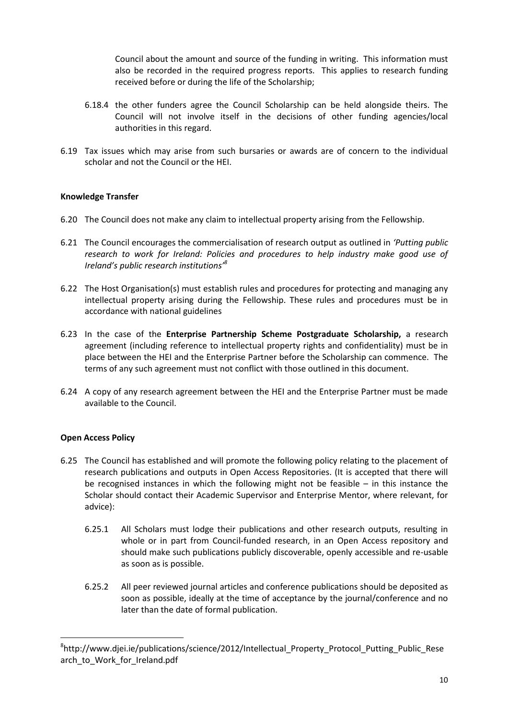Council about the amount and source of the funding in writing. This information must also be recorded in the required progress reports. This applies to research funding received before or during the life of the Scholarship;

- 6.18.4 the other funders agree the Council Scholarship can be held alongside theirs. The Council will not involve itself in the decisions of other funding agencies/local authorities in this regard.
- 6.19 Tax issues which may arise from such bursaries or awards are of concern to the individual scholar and not the Council or the HEI.

## **Knowledge Transfer**

- 6.20 The Council does not make any claim to intellectual property arising from the Fellowship.
- 6.21 The Council encourages the commercialisation of research output as outlined in *'Putting public research to work for Ireland: Policies and procedures to help industry make good use of Ireland's public research institutions'<sup>8</sup>*
- 6.22 The Host Organisation(s) must establish rules and procedures for protecting and managing any intellectual property arising during the Fellowship. These rules and procedures must be in accordance with national guidelines
- 6.23 In the case of the **Enterprise Partnership Scheme Postgraduate Scholarship,** a research agreement (including reference to intellectual property rights and confidentiality) must be in place between the HEI and the Enterprise Partner before the Scholarship can commence. The terms of any such agreement must not conflict with those outlined in this document.
- 6.24 A copy of any research agreement between the HEI and the Enterprise Partner must be made available to the Council.

## **Open Access Policy**

 $\overline{a}$ 

- 6.25 The Council has established and will promote the following policy relating to the placement of research publications and outputs in Open Access Repositories. (It is accepted that there will be recognised instances in which the following might not be feasible – in this instance the Scholar should contact their Academic Supervisor and Enterprise Mentor, where relevant, for advice):
	- 6.25.1 All Scholars must lodge their publications and other research outputs, resulting in whole or in part from Council-funded research, in an Open Access repository and should make such publications publicly discoverable, openly accessible and re-usable as soon as is possible.
	- 6.25.2 All peer reviewed journal articles and conference publications should be deposited as soon as possible, ideally at the time of acceptance by the journal/conference and no later than the date of formal publication.

<sup>8</sup> http://www.djei.ie/publications/science/2012/Intellectual\_Property\_Protocol\_Putting\_Public\_Rese arch\_to\_Work\_for\_Ireland.pdf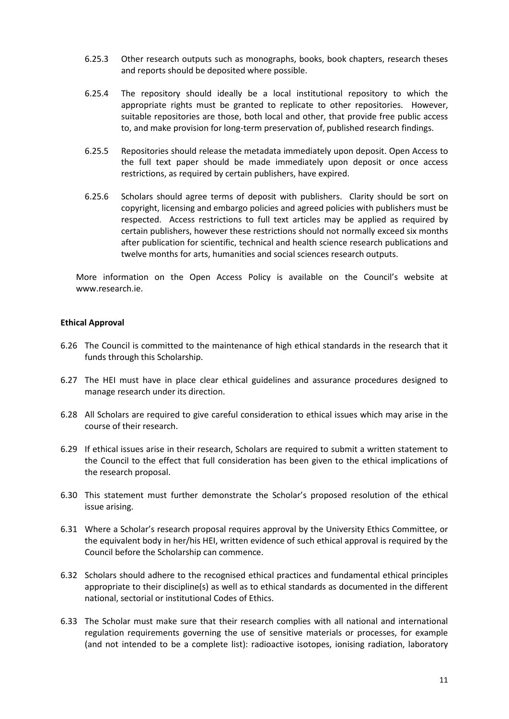- 6.25.3 Other research outputs such as monographs, books, book chapters, research theses and reports should be deposited where possible.
- 6.25.4 The repository should ideally be a local institutional repository to which the appropriate rights must be granted to replicate to other repositories. However, suitable repositories are those, both local and other, that provide free public access to, and make provision for long-term preservation of, published research findings.
- 6.25.5 Repositories should release the metadata immediately upon deposit. Open Access to the full text paper should be made immediately upon deposit or once access restrictions, as required by certain publishers, have expired.
- 6.25.6 Scholars should agree terms of deposit with publishers. Clarity should be sort on copyright, licensing and embargo policies and agreed policies with publishers must be respected. Access restrictions to full text articles may be applied as required by certain publishers, however these restrictions should not normally exceed six months after publication for scientific, technical and health science research publications and twelve months for arts, humanities and social sciences research outputs.

More information on the Open Access Policy is available on the Council's website at www.research.ie.

## **Ethical Approval**

- 6.26 The Council is committed to the maintenance of high ethical standards in the research that it funds through this Scholarship.
- 6.27 The HEI must have in place clear ethical guidelines and assurance procedures designed to manage research under its direction.
- 6.28 All Scholars are required to give careful consideration to ethical issues which may arise in the course of their research.
- 6.29 If ethical issues arise in their research, Scholars are required to submit a written statement to the Council to the effect that full consideration has been given to the ethical implications of the research proposal.
- 6.30 This statement must further demonstrate the Scholar's proposed resolution of the ethical issue arising.
- 6.31 Where a Scholar's research proposal requires approval by the University Ethics Committee, or the equivalent body in her/his HEI, written evidence of such ethical approval is required by the Council before the Scholarship can commence.
- 6.32 Scholars should adhere to the recognised ethical practices and fundamental ethical principles appropriate to their discipline(s) as well as to ethical standards as documented in the different national, sectorial or institutional Codes of Ethics.
- 6.33 The Scholar must make sure that their research complies with all national and international regulation requirements governing the use of sensitive materials or processes, for example (and not intended to be a complete list): radioactive isotopes, ionising radiation, laboratory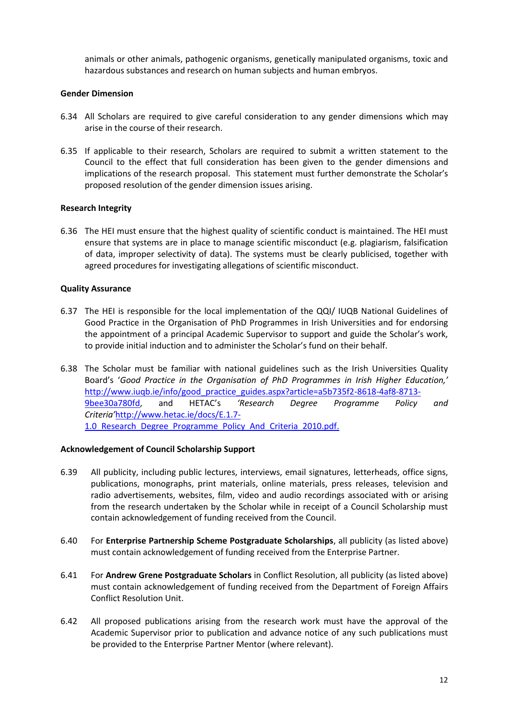animals or other animals, pathogenic organisms, genetically manipulated organisms, toxic and hazardous substances and research on human subjects and human embryos.

#### **Gender Dimension**

- 6.34 All Scholars are required to give careful consideration to any gender dimensions which may arise in the course of their research.
- 6.35 If applicable to their research, Scholars are required to submit a written statement to the Council to the effect that full consideration has been given to the gender dimensions and implications of the research proposal. This statement must further demonstrate the Scholar's proposed resolution of the gender dimension issues arising.

#### **Research Integrity**

6.36 The HEI must ensure that the highest quality of scientific conduct is maintained. The HEI must ensure that systems are in place to manage scientific misconduct (e.g. plagiarism, falsification of data, improper selectivity of data). The systems must be clearly publicised, together with agreed procedures for investigating allegations of scientific misconduct.

#### **Quality Assurance**

- 6.37 The HEI is responsible for the local implementation of the QQI/ IUQB National Guidelines of Good Practice in the Organisation of PhD Programmes in Irish Universities and for endorsing the appointment of a principal Academic Supervisor to support and guide the Scholar's work, to provide initial induction and to administer the Scholar's fund on their behalf.
- 6.38 The Scholar must be familiar with national guidelines such as the Irish Universities Quality Board's '*Good Practice in the Organisation of PhD Programmes in Irish Higher Education,'*  [http://www.iuqb.ie/info/good\\_practice\\_guides.aspx?article=a5b735f2-8618-4af8-8713-](http://www.iuqb.ie/info/good_practice_guides.aspx?article=a5b735f2-8618-4af8-8713-9bee30a780fd) [9bee30a780fd,](http://www.iuqb.ie/info/good_practice_guides.aspx?article=a5b735f2-8618-4af8-8713-9bee30a780fd) and HETAC's *'Research Degree Programme Policy and Criteria'*[http://www.hetac.ie/docs/E.1.7-](http://www.hetac.ie/docs/E.1.7-1.0_Research_Degree_Programme_Policy_And_Criteria_2010.pdf) 1.0 Research Degree Programme Policy And Criteria 2010.pdf.

#### **Acknowledgement of Council Scholarship Support**

- 6.39 All publicity, including public lectures, interviews, email signatures, letterheads, office signs, publications, monographs, print materials, online materials, press releases, television and radio advertisements, websites, film, video and audio recordings associated with or arising from the research undertaken by the Scholar while in receipt of a Council Scholarship must contain acknowledgement of funding received from the Council.
- 6.40 For **Enterprise Partnership Scheme Postgraduate Scholarships**, all publicity (as listed above) must contain acknowledgement of funding received from the Enterprise Partner.
- 6.41 For **Andrew Grene Postgraduate Scholars** in Conflict Resolution, all publicity (as listed above) must contain acknowledgement of funding received from the Department of Foreign Affairs Conflict Resolution Unit.
- 6.42 All proposed publications arising from the research work must have the approval of the Academic Supervisor prior to publication and advance notice of any such publications must be provided to the Enterprise Partner Mentor (where relevant).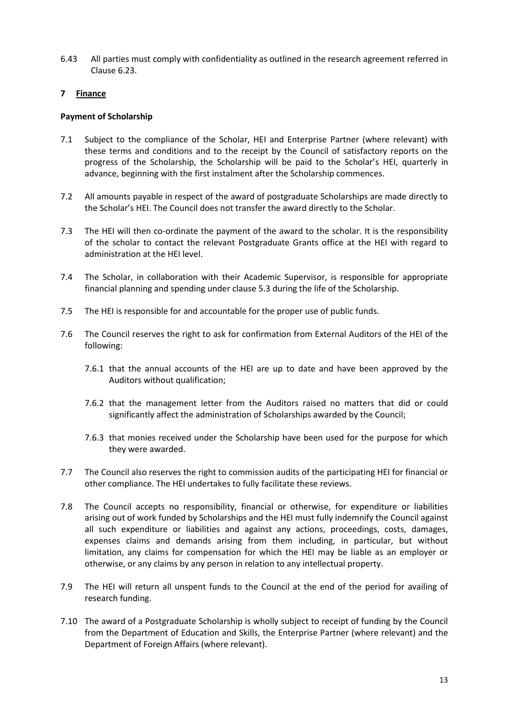6.43 All parties must comply with confidentiality as outlined in the research agreement referred in Clause 6.23.

## **7 Finance**

## **Payment of Scholarship**

- 7.1 Subject to the compliance of the Scholar, HEI and Enterprise Partner (where relevant) with these terms and conditions and to the receipt by the Council of satisfactory reports on the progress of the Scholarship, the Scholarship will be paid to the Scholar's HEI, quarterly in advance, beginning with the first instalment after the Scholarship commences.
- 7.2 All amounts payable in respect of the award of postgraduate Scholarships are made directly to the Scholar's HEI. The Council does not transfer the award directly to the Scholar.
- 7.3 The HEI will then co-ordinate the payment of the award to the scholar. It is the responsibility of the scholar to contact the relevant Postgraduate Grants office at the HEI with regard to administration at the HEI level.
- 7.4 The Scholar, in collaboration with their Academic Supervisor, is responsible for appropriate financial planning and spending under clause 5.3 during the life of the Scholarship.
- 7.5 The HEI is responsible for and accountable for the proper use of public funds.
- 7.6 The Council reserves the right to ask for confirmation from External Auditors of the HEI of the following:
	- 7.6.1 that the annual accounts of the HEI are up to date and have been approved by the Auditors without qualification;
	- 7.6.2 that the management letter from the Auditors raised no matters that did or could significantly affect the administration of Scholarships awarded by the Council;
	- 7.6.3 that monies received under the Scholarship have been used for the purpose for which they were awarded.
- 7.7 The Council also reserves the right to commission audits of the participating HEI for financial or other compliance. The HEI undertakes to fully facilitate these reviews.
- 7.8 The Council accepts no responsibility, financial or otherwise, for expenditure or liabilities arising out of work funded by Scholarships and the HEI must fully indemnify the Council against all such expenditure or liabilities and against any actions, proceedings, costs, damages, expenses claims and demands arising from them including, in particular, but without limitation, any claims for compensation for which the HEI may be liable as an employer or otherwise, or any claims by any person in relation to any intellectual property.
- 7.9 The HEI will return all unspent funds to the Council at the end of the period for availing of research funding.
- 7.10 The award of a Postgraduate Scholarship is wholly subject to receipt of funding by the Council from the Department of Education and Skills, the Enterprise Partner (where relevant) and the Department of Foreign Affairs (where relevant).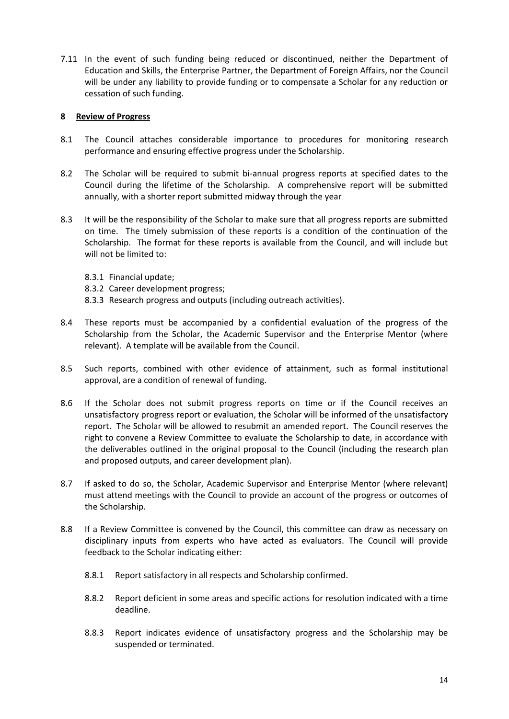7.11 In the event of such funding being reduced or discontinued, neither the Department of Education and Skills, the Enterprise Partner, the Department of Foreign Affairs, nor the Council will be under any liability to provide funding or to compensate a Scholar for any reduction or cessation of such funding.

#### **8 Review of Progress**

- 8.1 The Council attaches considerable importance to procedures for monitoring research performance and ensuring effective progress under the Scholarship.
- 8.2 The Scholar will be required to submit bi-annual progress reports at specified dates to the Council during the lifetime of the Scholarship. A comprehensive report will be submitted annually, with a shorter report submitted midway through the year
- 8.3 It will be the responsibility of the Scholar to make sure that all progress reports are submitted on time. The timely submission of these reports is a condition of the continuation of the Scholarship. The format for these reports is available from the Council, and will include but will not be limited to:
	- 8.3.1 Financial update;
	- 8.3.2 Career development progress;
	- 8.3.3 Research progress and outputs (including outreach activities).
- 8.4 These reports must be accompanied by a confidential evaluation of the progress of the Scholarship from the Scholar, the Academic Supervisor and the Enterprise Mentor (where relevant). A template will be available from the Council.
- 8.5 Such reports, combined with other evidence of attainment, such as formal institutional approval, are a condition of renewal of funding.
- 8.6 If the Scholar does not submit progress reports on time or if the Council receives an unsatisfactory progress report or evaluation, the Scholar will be informed of the unsatisfactory report. The Scholar will be allowed to resubmit an amended report. The Council reserves the right to convene a Review Committee to evaluate the Scholarship to date, in accordance with the deliverables outlined in the original proposal to the Council (including the research plan and proposed outputs, and career development plan).
- 8.7 If asked to do so, the Scholar, Academic Supervisor and Enterprise Mentor (where relevant) must attend meetings with the Council to provide an account of the progress or outcomes of the Scholarship.
- 8.8 If a Review Committee is convened by the Council, this committee can draw as necessary on disciplinary inputs from experts who have acted as evaluators. The Council will provide feedback to the Scholar indicating either:
	- 8.8.1 Report satisfactory in all respects and Scholarship confirmed.
	- 8.8.2 Report deficient in some areas and specific actions for resolution indicated with a time deadline.
	- 8.8.3 Report indicates evidence of unsatisfactory progress and the Scholarship may be suspended or terminated.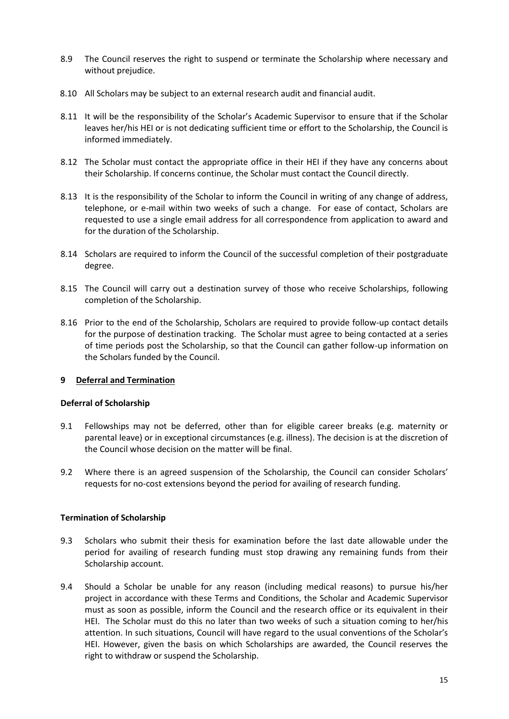- 8.9 The Council reserves the right to suspend or terminate the Scholarship where necessary and without prejudice.
- 8.10 All Scholars may be subject to an external research audit and financial audit.
- 8.11 It will be the responsibility of the Scholar's Academic Supervisor to ensure that if the Scholar leaves her/his HEI or is not dedicating sufficient time or effort to the Scholarship, the Council is informed immediately.
- 8.12 The Scholar must contact the appropriate office in their HEI if they have any concerns about their Scholarship. If concerns continue, the Scholar must contact the Council directly.
- 8.13 It is the responsibility of the Scholar to inform the Council in writing of any change of address, telephone, or e-mail within two weeks of such a change. For ease of contact, Scholars are requested to use a single email address for all correspondence from application to award and for the duration of the Scholarship.
- 8.14 Scholars are required to inform the Council of the successful completion of their postgraduate degree.
- 8.15 The Council will carry out a destination survey of those who receive Scholarships, following completion of the Scholarship.
- 8.16 Prior to the end of the Scholarship, Scholars are required to provide follow-up contact details for the purpose of destination tracking. The Scholar must agree to being contacted at a series of time periods post the Scholarship, so that the Council can gather follow-up information on the Scholars funded by the Council.

## **9 Deferral and Termination**

#### **Deferral of Scholarship**

- 9.1 Fellowships may not be deferred, other than for eligible career breaks (e.g. maternity or parental leave) or in exceptional circumstances (e.g. illness). The decision is at the discretion of the Council whose decision on the matter will be final.
- 9.2 Where there is an agreed suspension of the Scholarship, the Council can consider Scholars' requests for no-cost extensions beyond the period for availing of research funding.

## **Termination of Scholarship**

- 9.3 Scholars who submit their thesis for examination before the last date allowable under the period for availing of research funding must stop drawing any remaining funds from their Scholarship account.
- 9.4 Should a Scholar be unable for any reason (including medical reasons) to pursue his/her project in accordance with these Terms and Conditions, the Scholar and Academic Supervisor must as soon as possible, inform the Council and the research office or its equivalent in their HEI. The Scholar must do this no later than two weeks of such a situation coming to her/his attention. In such situations, Council will have regard to the usual conventions of the Scholar's HEI. However, given the basis on which Scholarships are awarded, the Council reserves the right to withdraw or suspend the Scholarship.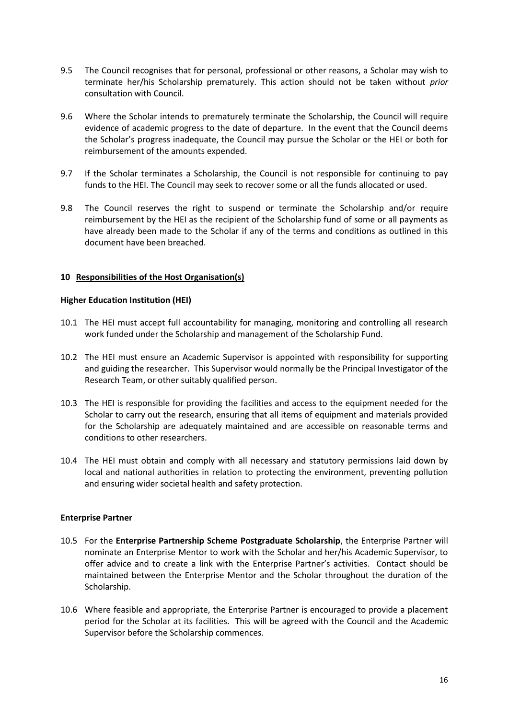- 9.5 The Council recognises that for personal, professional or other reasons, a Scholar may wish to terminate her/his Scholarship prematurely. This action should not be taken without *prior* consultation with Council.
- 9.6 Where the Scholar intends to prematurely terminate the Scholarship, the Council will require evidence of academic progress to the date of departure. In the event that the Council deems the Scholar's progress inadequate, the Council may pursue the Scholar or the HEI or both for reimbursement of the amounts expended.
- 9.7 If the Scholar terminates a Scholarship, the Council is not responsible for continuing to pay funds to the HEI. The Council may seek to recover some or all the funds allocated or used.
- 9.8 The Council reserves the right to suspend or terminate the Scholarship and/or require reimbursement by the HEI as the recipient of the Scholarship fund of some or all payments as have already been made to the Scholar if any of the terms and conditions as outlined in this document have been breached.

## **10 Responsibilities of the Host Organisation(s)**

#### **Higher Education Institution (HEI)**

- 10.1 The HEI must accept full accountability for managing, monitoring and controlling all research work funded under the Scholarship and management of the Scholarship Fund.
- 10.2 The HEI must ensure an Academic Supervisor is appointed with responsibility for supporting and guiding the researcher. This Supervisor would normally be the Principal Investigator of the Research Team, or other suitably qualified person.
- 10.3 The HEI is responsible for providing the facilities and access to the equipment needed for the Scholar to carry out the research, ensuring that all items of equipment and materials provided for the Scholarship are adequately maintained and are accessible on reasonable terms and conditions to other researchers.
- 10.4 The HEI must obtain and comply with all necessary and statutory permissions laid down by local and national authorities in relation to protecting the environment, preventing pollution and ensuring wider societal health and safety protection.

#### **Enterprise Partner**

- 10.5 For the **Enterprise Partnership Scheme Postgraduate Scholarship**, the Enterprise Partner will nominate an Enterprise Mentor to work with the Scholar and her/his Academic Supervisor, to offer advice and to create a link with the Enterprise Partner's activities. Contact should be maintained between the Enterprise Mentor and the Scholar throughout the duration of the Scholarship.
- 10.6 Where feasible and appropriate, the Enterprise Partner is encouraged to provide a placement period for the Scholar at its facilities. This will be agreed with the Council and the Academic Supervisor before the Scholarship commences.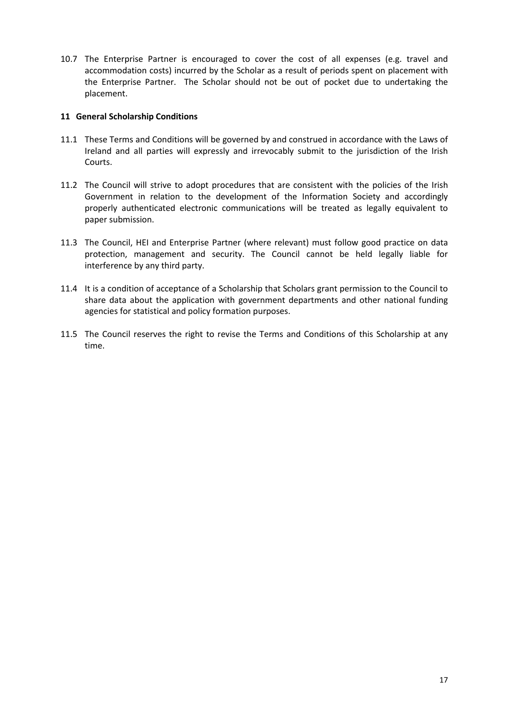10.7 The Enterprise Partner is encouraged to cover the cost of all expenses (e.g. travel and accommodation costs) incurred by the Scholar as a result of periods spent on placement with the Enterprise Partner. The Scholar should not be out of pocket due to undertaking the placement.

#### **11 General Scholarship Conditions**

- 11.1 These Terms and Conditions will be governed by and construed in accordance with the Laws of Ireland and all parties will expressly and irrevocably submit to the jurisdiction of the Irish Courts.
- 11.2 The Council will strive to adopt procedures that are consistent with the policies of the Irish Government in relation to the development of the Information Society and accordingly properly authenticated electronic communications will be treated as legally equivalent to paper submission.
- 11.3 The Council, HEI and Enterprise Partner (where relevant) must follow good practice on data protection, management and security. The Council cannot be held legally liable for interference by any third party.
- 11.4 It is a condition of acceptance of a Scholarship that Scholars grant permission to the Council to share data about the application with government departments and other national funding agencies for statistical and policy formation purposes.
- 11.5 The Council reserves the right to revise the Terms and Conditions of this Scholarship at any time.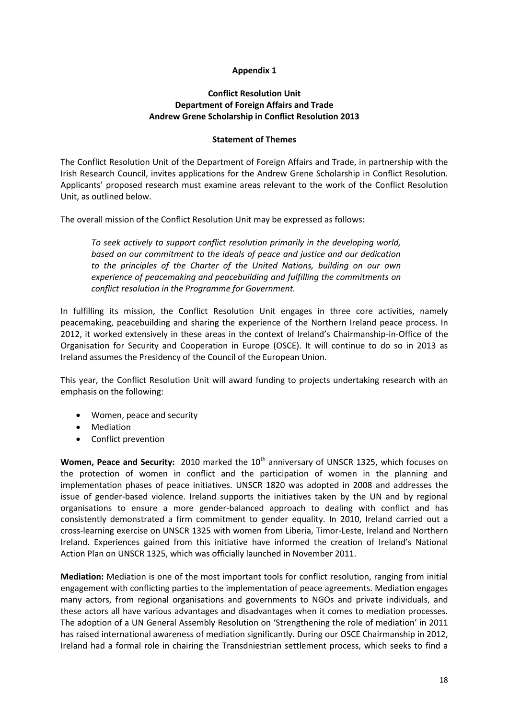## **Appendix 1**

## **Conflict Resolution Unit Department of Foreign Affairs and Trade Andrew Grene Scholarship in Conflict Resolution 2013**

#### **Statement of Themes**

The Conflict Resolution Unit of the Department of Foreign Affairs and Trade, in partnership with the Irish Research Council, invites applications for the Andrew Grene Scholarship in Conflict Resolution. Applicants' proposed research must examine areas relevant to the work of the Conflict Resolution Unit, as outlined below.

The overall mission of the Conflict Resolution Unit may be expressed as follows:

*To seek actively to support conflict resolution primarily in the developing world, based on our commitment to the ideals of peace and justice and our dedication to the principles of the Charter of the United Nations, building on our own experience of peacemaking and peacebuilding and fulfilling the commitments on conflict resolution in the Programme for Government.* 

In fulfilling its mission, the Conflict Resolution Unit engages in three core activities, namely peacemaking, peacebuilding and sharing the experience of the Northern Ireland peace process. In 2012, it worked extensively in these areas in the context of Ireland's Chairmanship-in-Office of the Organisation for Security and Cooperation in Europe (OSCE). It will continue to do so in 2013 as Ireland assumes the Presidency of the Council of the European Union.

This year, the Conflict Resolution Unit will award funding to projects undertaking research with an emphasis on the following:

- Women, peace and security
- Mediation
- Conflict prevention

**Women, Peace and Security:** 2010 marked the 10<sup>th</sup> anniversary of UNSCR 1325, which focuses on the protection of women in conflict and the participation of women in the planning and implementation phases of peace initiatives. UNSCR 1820 was adopted in 2008 and addresses the issue of gender-based violence. Ireland supports the initiatives taken by the UN and by regional organisations to ensure a more gender-balanced approach to dealing with conflict and has consistently demonstrated a firm commitment to gender equality. In 2010, Ireland carried out a cross-learning exercise on UNSCR 1325 with women from Liberia, Timor-Leste, Ireland and Northern Ireland. Experiences gained from this initiative have informed the creation of Ireland's National Action Plan on UNSCR 1325, which was officially launched in November 2011.

**Mediation:** Mediation is one of the most important tools for conflict resolution, ranging from initial engagement with conflicting parties to the implementation of peace agreements. Mediation engages many actors, from regional organisations and governments to NGOs and private individuals, and these actors all have various advantages and disadvantages when it comes to mediation processes. The adoption of a UN General Assembly Resolution on 'Strengthening the role of mediation' in 2011 has raised international awareness of mediation significantly. During our OSCE Chairmanship in 2012, Ireland had a formal role in chairing the Transdniestrian settlement process, which seeks to find a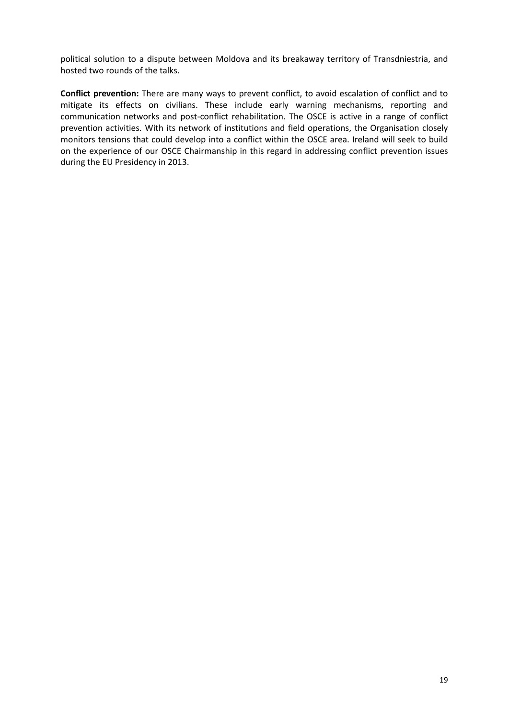political solution to a dispute between Moldova and its breakaway territory of Transdniestria, and hosted two rounds of the talks.

**Conflict prevention:** There are many ways to prevent conflict, to avoid escalation of conflict and to mitigate its effects on civilians. These include early warning mechanisms, reporting and communication networks and post-conflict rehabilitation. The OSCE is active in a range of conflict prevention activities. With its network of institutions and field operations, the Organisation closely monitors tensions that could develop into a conflict within the OSCE area. Ireland will seek to build on the experience of our OSCE Chairmanship in this regard in addressing conflict prevention issues during the EU Presidency in 2013.